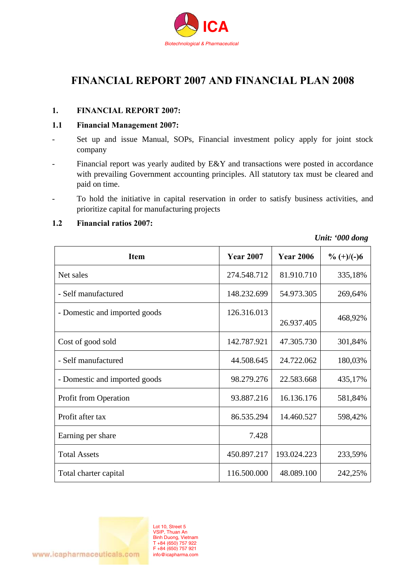

# **FINANCIAL REPORT 2007 AND FINANCIAL PLAN 2008**

#### **1. FINANCIAL REPORT 2007:**

#### **1.1 Financial Management 2007:**

- Set up and issue Manual, SOPs, Financial investment policy apply for joint stock company
- Financial report was yearly audited by E&Y and transactions were posted in accordance with prevailing Government accounting principles. All statutory tax must be cleared and paid on time.
- To hold the initiative in capital reservation in order to satisfy business activities, and prioritize capital for manufacturing projects

| Item                          | <b>Year 2007</b> | <b>Year 2006</b> | $\% (+)/(-)6$ |
|-------------------------------|------------------|------------------|---------------|
| Net sales                     | 274.548.712      | 81.910.710       | 335,18%       |
| - Self manufactured           | 148.232.699      | 54.973.305       | 269,64%       |
| - Domestic and imported goods | 126.316.013      | 26.937.405       | 468,92%       |
| Cost of good sold             | 142.787.921      | 47.305.730       | 301,84%       |
| - Self manufactured           | 44.508.645       | 24.722.062       | 180,03%       |
| - Domestic and imported goods | 98.279.276       | 22.583.668       | 435,17%       |
| <b>Profit from Operation</b>  | 93.887.216       | 16.136.176       | 581,84%       |
| Profit after tax              | 86.535.294       | 14.460.527       | 598,42%       |
| Earning per share             | 7.428            |                  |               |
| <b>Total Assets</b>           | 450.897.217      | 193.024.223      | 233,59%       |
| Total charter capital         | 116.500.000      | 48.089.100       | 242,25%       |

**1.2 Financial ratios 2007:** 

*Unit: '000 dong* 

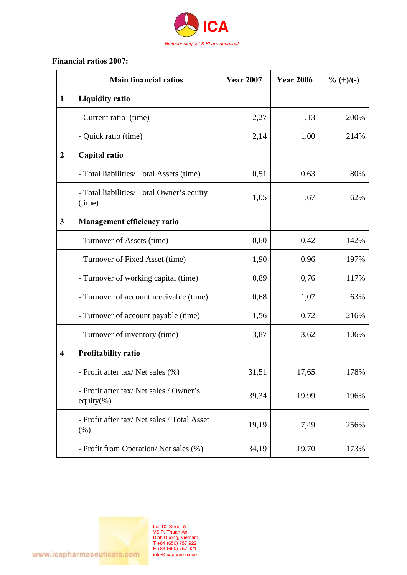

## **Financial ratios 2007:**

|                         | <b>Main financial ratios</b>                             | <b>Year 2007</b> | <b>Year 2006</b> | $\% (+)/(-)$ |
|-------------------------|----------------------------------------------------------|------------------|------------------|--------------|
| $\mathbf{1}$            | <b>Liquidity ratio</b>                                   |                  |                  |              |
|                         | - Current ratio (time)                                   | 2,27             | 1,13             | 200%         |
|                         | - Quick ratio (time)                                     | 2,14             | 1,00             | 214%         |
| $\overline{2}$          | Capital ratio                                            |                  |                  |              |
|                         | - Total liabilities/ Total Assets (time)                 | 0,51             | 0,63             | 80%          |
|                         | - Total liabilities/ Total Owner's equity<br>(time)      | 1,05             | 1,67             | 62%          |
| $\mathbf{3}$            | <b>Management efficiency ratio</b>                       |                  |                  |              |
|                         | - Turnover of Assets (time)                              | 0,60             | 0,42             | 142%         |
|                         | - Turnover of Fixed Asset (time)                         | 1,90             | 0,96             | 197%         |
|                         | - Turnover of working capital (time)                     | 0,89             | 0,76             | 117%         |
|                         | - Turnover of account receivable (time)                  | 0,68             | 1,07             | 63%          |
|                         | - Turnover of account payable (time)                     | 1,56             | 0,72             | 216%         |
|                         | - Turnover of inventory (time)                           | 3,87             | 3,62             | 106%         |
| $\overline{\mathbf{4}}$ | <b>Profitability ratio</b>                               |                  |                  |              |
|                         | - Profit after tax/ Net sales (%)                        | 31,51            | 17,65            | 178%         |
|                         | - Profit after tax/ Net sales / Owner's<br>equity $(\%)$ | 39,34            | 19,99            | 196%         |
|                         | - Profit after tax/ Net sales / Total Asset<br>(% )      | 19,19            | 7,49             | 256%         |
|                         | - Profit from Operation/Net sales (%)                    | 34,19            | 19,70            | 173%         |

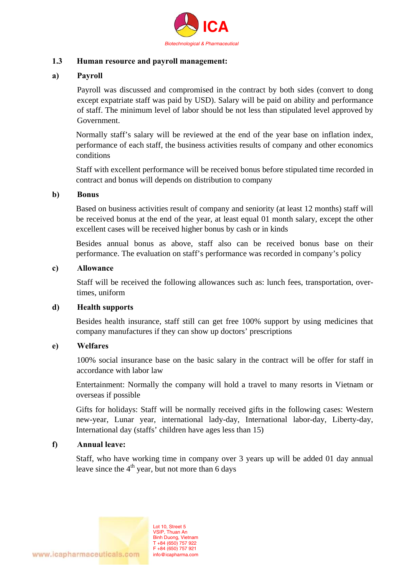

#### **1.3 Human resource and payroll management:**

#### **a) Payroll**

Payroll was discussed and compromised in the contract by both sides (convert to dong except expatriate staff was paid by USD). Salary will be paid on ability and performance of staff. The minimum level of labor should be not less than stipulated level approved by Government.

Normally staff's salary will be reviewed at the end of the year base on inflation index, performance of each staff, the business activities results of company and other economics conditions

Staff with excellent performance will be received bonus before stipulated time recorded in contract and bonus will depends on distribution to company

#### **b) Bonus**

Based on business activities result of company and seniority (at least 12 months) staff will be received bonus at the end of the year, at least equal 01 month salary, except the other excellent cases will be received higher bonus by cash or in kinds

Besides annual bonus as above, staff also can be received bonus base on their performance. The evaluation on staff's performance was recorded in company's policy

#### **c) Allowance**

Staff will be received the following allowances such as: lunch fees, transportation, overtimes, uniform

#### **d) Health supports**

Besides health insurance, staff still can get free 100% support by using medicines that company manufactures if they can show up doctors' prescriptions

#### **e) Welfares**

100% social insurance base on the basic salary in the contract will be offer for staff in accordance with labor law

Entertainment: Normally the company will hold a travel to many resorts in Vietnam or overseas if possible

Gifts for holidays: Staff will be normally received gifts in the following cases: Western new-year, Lunar year, international lady-day, International labor-day, Liberty-day, International day (staffs' children have ages less than 15)

#### **f) Annual leave:**

Staff, who have working time in company over 3 years up will be added 01 day annual leave since the  $4<sup>th</sup>$  year, but not more than 6 days

> Lot 10, Street 5 VSIP, Thuan An Binh Duong, Vietnam T +84 (650) 757 922 F +84 (650) 757 921 info@icapharma.com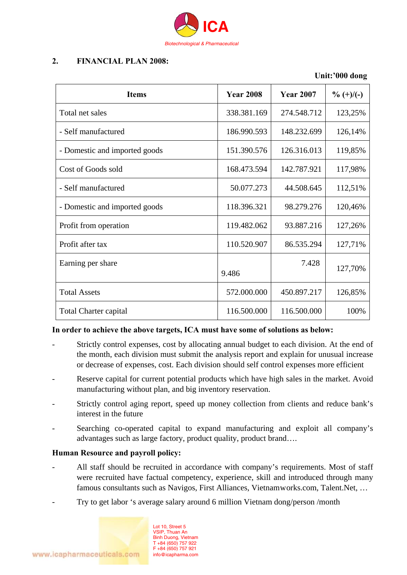

### **2. FINANCIAL PLAN 2008:**

# **Unit:'000 dong Items** Year 2008 Year 2007  $\frac{9}{6}$  (+)/(-) Total net sales 338.381.169 274.548.712 123.25% - Self manufactured 186.990.593 | 148.232.699 | 126,14% - Domestic and imported goods 151.390.576 | 126.316.013 | 119,85% Cost of Goods sold 168.473.594 | 142.787.921 | 117,98% - Self manufactured 112,51% - Domestic and imported goods 118.396.321 98.279.276 120.46% Profit from operation 119.482.062 93.887.216 127,26% Profit after tax 110.520.907 86.535.294 127,71% Earning per share 9.486 7.428 127,70% Total Assets 1990 126,85% 126,85% 126,85% 126,85% 126,85% 126,85% Total Charter capital 116.500.000 116.500.000 100%

#### **In order to achieve the above targets, ICA must have some of solutions as below:**

- Strictly control expenses, cost by allocating annual budget to each division. At the end of the month, each division must submit the analysis report and explain for unusual increase or decrease of expenses, cost. Each division should self control expenses more efficient
- Reserve capital for current potential products which have high sales in the market. Avoid manufacturing without plan, and big inventory reservation.
- Strictly control aging report, speed up money collection from clients and reduce bank's interest in the future
- Searching co-operated capital to expand manufacturing and exploit all company's advantages such as large factory, product quality, product brand….

#### **Human Resource and payroll policy:**

- All staff should be recruited in accordance with company's requirements. Most of staff were recruited have factual competency, experience, skill and introduced through many famous consultants such as Navigos, First Alliances, Vietnamworks.com, Talent.Net, …
- Try to get labor 's average salary around 6 million Vietnam dong/person /month